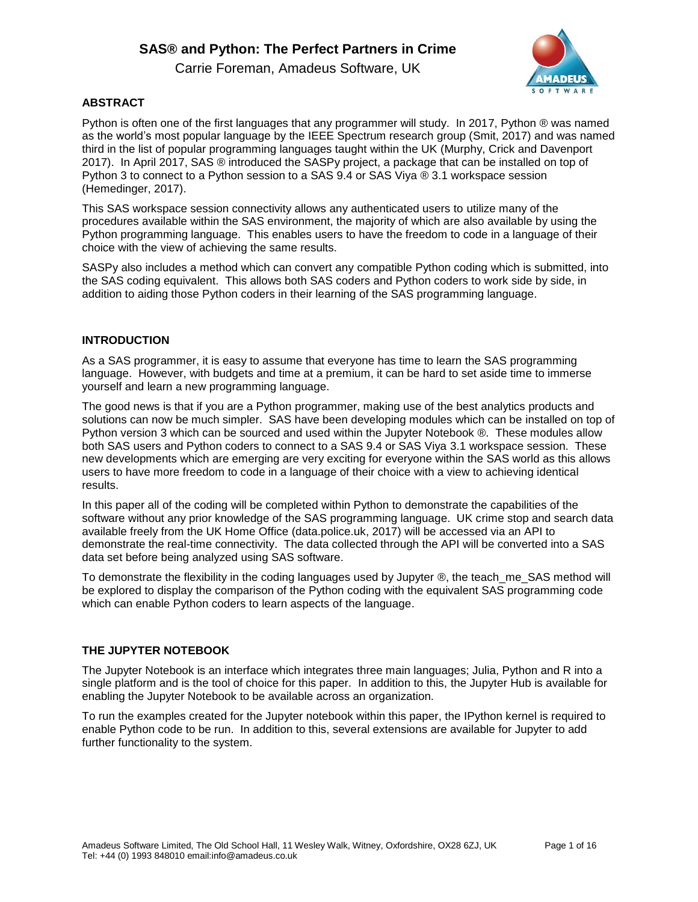Carrie Foreman, Amadeus Software, UK



## **ABSTRACT**

Python is often one of the first languages that any programmer will study. In 2017, Python ® was named as the world's most popular language by the IEEE Spectrum research group (Smit, 2017) and was named third in the list of popular programming languages taught within the UK (Murphy, Crick and Davenport 2017). In April 2017, SAS ® introduced the SASPy project, a package that can be installed on top of Python 3 to connect to a Python session to a SAS 9.4 or SAS Viya ® 3.1 workspace session (Hemedinger, 2017).

This SAS workspace session connectivity allows any authenticated users to utilize many of the procedures available within the SAS environment, the majority of which are also available by using the Python programming language. This enables users to have the freedom to code in a language of their choice with the view of achieving the same results.

SASPy also includes a method which can convert any compatible Python coding which is submitted, into the SAS coding equivalent. This allows both SAS coders and Python coders to work side by side, in addition to aiding those Python coders in their learning of the SAS programming language.

### **INTRODUCTION**

As a SAS programmer, it is easy to assume that everyone has time to learn the SAS programming language. However, with budgets and time at a premium, it can be hard to set aside time to immerse yourself and learn a new programming language.

The good news is that if you are a Python programmer, making use of the best analytics products and solutions can now be much simpler. SAS have been developing modules which can be installed on top of Python version 3 which can be sourced and used within the Jupyter Notebook ®. These modules allow both SAS users and Python coders to connect to a SAS 9.4 or SAS Viya 3.1 workspace session. These new developments which are emerging are very exciting for everyone within the SAS world as this allows users to have more freedom to code in a language of their choice with a view to achieving identical results.

In this paper all of the coding will be completed within Python to demonstrate the capabilities of the software without any prior knowledge of the SAS programming language. UK crime stop and search data available freely from the UK Home Office (data.police.uk, 2017) will be accessed via an API to demonstrate the real-time connectivity. The data collected through the API will be converted into a SAS data set before being analyzed using SAS software.

To demonstrate the flexibility in the coding languages used by Jupyter ®, the teach\_me\_SAS method will be explored to display the comparison of the Python coding with the equivalent SAS programming code which can enable Python coders to learn aspects of the language.

### **THE JUPYTER NOTEBOOK**

The Jupyter Notebook is an interface which integrates three main languages; Julia, Python and R into a single platform and is the tool of choice for this paper. In addition to this, the Jupyter Hub is available for enabling the Jupyter Notebook to be available across an organization.

To run the examples created for the Jupyter notebook within this paper, the IPython kernel is required to enable Python code to be run. In addition to this, several extensions are available for Jupyter to add further functionality to the system.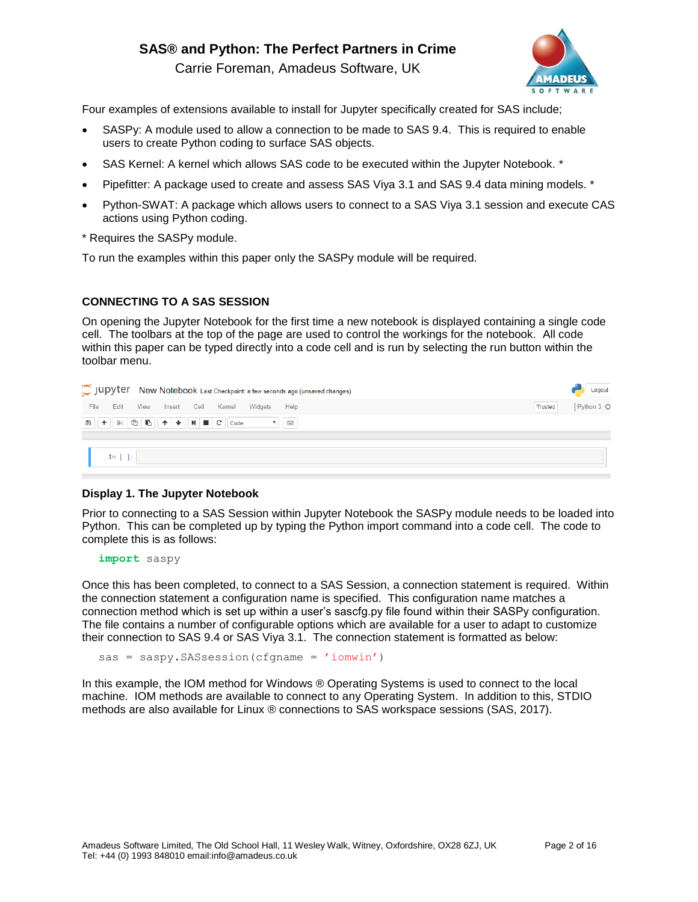Carrie Foreman, Amadeus Software, UK



Four examples of extensions available to install for Jupyter specifically created for SAS include;

- SASPy: A module used to allow a connection to be made to SAS 9.4. This is required to enable users to create Python coding to surface SAS objects.
- SAS Kernel: A kernel which allows SAS code to be executed within the Jupyter Notebook. \*
- Pipefitter: A package used to create and assess SAS Viya 3.1 and SAS 9.4 data mining models. \*
- Python-SWAT: A package which allows users to connect to a SAS Viya 3.1 session and execute CAS actions using Python coding.
- \* Requires the SASPy module.

To run the examples within this paper only the SASPy module will be required.

## **CONNECTING TO A SAS SESSION**

On opening the Jupyter Notebook for the first time a new notebook is displayed containing a single code cell. The toolbars at the top of the page are used to control the workings for the notebook. All code within this paper can be typed directly into a code cell and is run by selecting the run button within the toolbar menu.

|                                      | C JUPYTET New Notebook Last Checkpoint: a few seconds ago (unsaved changes) | Logout                |
|--------------------------------------|-----------------------------------------------------------------------------|-----------------------|
| File<br>Edit View Insert Cell Kernel | Widgets<br>Help                                                             | Python 3 O<br>Trusted |
|                                      |                                                                             |                       |
| In $[ ]: ]$                          |                                                                             |                       |

### **Display 1. The Jupyter Notebook**

Prior to connecting to a SAS Session within Jupyter Notebook the SASPy module needs to be loaded into Python. This can be completed up by typing the Python import command into a code cell. The code to complete this is as follows:

**import** saspy

Once this has been completed, to connect to a SAS Session, a connection statement is required. Within the connection statement a configuration name is specified. This configuration name matches a connection method which is set up within a user's sascfg.py file found within their SASPy configuration. The file contains a number of configurable options which are available for a user to adapt to customize their connection to SAS 9.4 or SAS Viya 3.1. The connection statement is formatted as below:

sas = saspy.SASsession(cfgname = 'iomwin')

In this example, the IOM method for Windows ® Operating Systems is used to connect to the local machine. IOM methods are available to connect to any Operating System. In addition to this, STDIO methods are also available for Linux ® connections to SAS workspace sessions (SAS, 2017).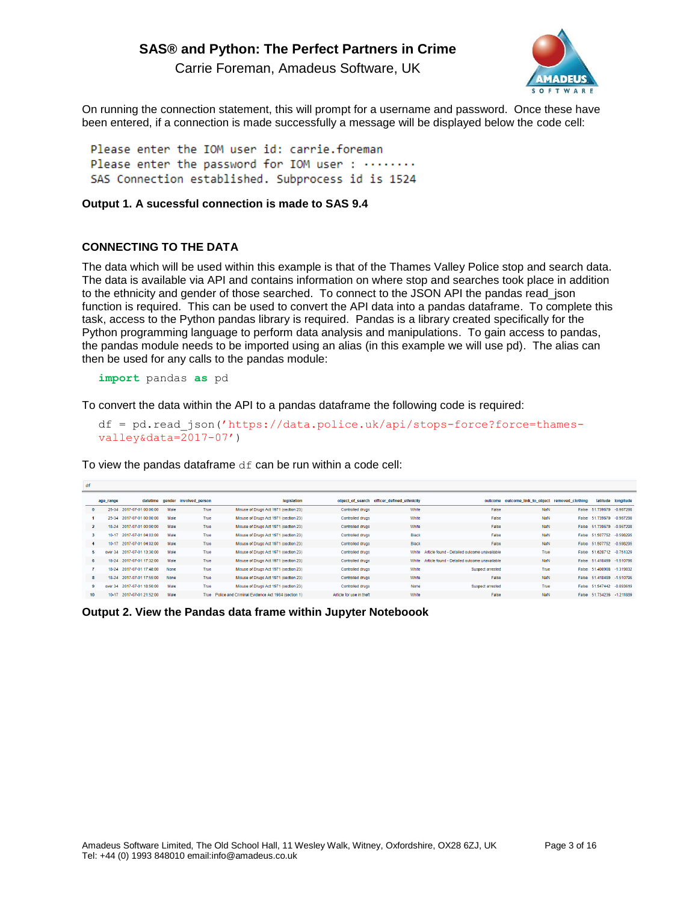Carrie Foreman, Amadeus Software, UK

On running the connection statement, this will prompt for a username and password. Once these have been entered, if a connection is made successfully a message will be displayed below the code cell:

Please enter the IOM user id: carrie.foreman Please enter the password for IOM user: ........ SAS Connection established. Subprocess id is 1524

### **Output 1. A sucessful connection is made to SAS 9.4**

### **CONNECTING TO THE DATA**

The data which will be used within this example is that of the Thames Valley Police stop and search data. The data is available via API and contains information on where stop and searches took place in addition to the ethnicity and gender of those searched. To connect to the JSON API the pandas read\_json function is required. This can be used to convert the API data into a pandas dataframe. To complete this task, access to the Python pandas library is required. Pandas is a library created specifically for the Python programming language to perform data analysis and manipulations. To gain access to pandas, the pandas module needs to be imported using an alias (in this example we will use pd). The alias can then be used for any calls to the pandas module:

**import** pandas **as** pd

To convert the data within the API to a pandas dataframe the following code is required:

```
df = pd.read_json('https://data.police.uk/api/stops-force?force=thames-
valley&data=2017-07')
```
To view the pandas dataframe  $df$  can be run within a code cell:

| age_range |                     |                                                                                                                                                                                                                                                                                   |                                       | legislation                           |                                                                                                                                                                  |       |                                              |                |         |                     | latitude longitude                                                                                                                                                                                                                                                                                                                       |
|-----------|---------------------|-----------------------------------------------------------------------------------------------------------------------------------------------------------------------------------------------------------------------------------------------------------------------------------|---------------------------------------|---------------------------------------|------------------------------------------------------------------------------------------------------------------------------------------------------------------|-------|----------------------------------------------|----------------|---------|---------------------|------------------------------------------------------------------------------------------------------------------------------------------------------------------------------------------------------------------------------------------------------------------------------------------------------------------------------------------|
|           |                     | Male                                                                                                                                                                                                                                                                              |                                       | Misuse of Drugs Act 1971 (section 23) | <b>Controlled drugs</b>                                                                                                                                          | White | False                                        | NaN            |         |                     |                                                                                                                                                                                                                                                                                                                                          |
|           |                     | Male                                                                                                                                                                                                                                                                              |                                       | Misuse of Drugs Act 1971 (section 23) | <b>Controlled drugs</b>                                                                                                                                          | White | False                                        | NaN            |         |                     |                                                                                                                                                                                                                                                                                                                                          |
|           |                     | Male                                                                                                                                                                                                                                                                              |                                       | Misuse of Drugs Act 1971 (section 23) | Controlled drugs                                                                                                                                                 | White | False                                        | NaN            |         |                     |                                                                                                                                                                                                                                                                                                                                          |
|           | 2017-07-01 04:03:00 | Male                                                                                                                                                                                                                                                                              |                                       | Misuse of Drugs Act 1971 (section 23) | Controlled drugs                                                                                                                                                 | Black | False                                        | NaN            |         |                     |                                                                                                                                                                                                                                                                                                                                          |
|           |                     | Male                                                                                                                                                                                                                                                                              |                                       | Misuse of Drugs Act 1971 (section 23) | Controlled drugs                                                                                                                                                 | Black | False                                        | NaN            |         |                     |                                                                                                                                                                                                                                                                                                                                          |
|           |                     | Male                                                                                                                                                                                                                                                                              |                                       | Misuse of Drugs Act 1971 (section 23) | <b>Controlled drugs</b>                                                                                                                                          |       | Article found - Detailed outcome unavailable | True           |         |                     |                                                                                                                                                                                                                                                                                                                                          |
|           |                     | Male                                                                                                                                                                                                                                                                              |                                       | Misuse of Drugs Act 1971 (section 23) | <b>Controlled drugs</b>                                                                                                                                          |       | Article found - Detailed outcome unavailable | NaN            |         |                     |                                                                                                                                                                                                                                                                                                                                          |
|           |                     | None                                                                                                                                                                                                                                                                              |                                       | Misuse of Drugs Act 1971 (section 23) | <b>Controlled drugs</b>                                                                                                                                          | White | <b>Suspect arrested</b>                      | True           |         | 51,400908 -1,319032 |                                                                                                                                                                                                                                                                                                                                          |
|           |                     | None                                                                                                                                                                                                                                                                              |                                       | Misuse of Drugs Act 1971 (section 23) | <b>Controlled drugs</b>                                                                                                                                          | White | False                                        | NaN            |         |                     |                                                                                                                                                                                                                                                                                                                                          |
|           |                     | Male                                                                                                                                                                                                                                                                              |                                       | Misuse of Drugs Act 1971 (section 23) | <b>Controlled drugs</b>                                                                                                                                          | None  | <b>Suspect arrested</b>                      | True           |         |                     |                                                                                                                                                                                                                                                                                                                                          |
|           |                     | Male                                                                                                                                                                                                                                                                              |                                       |                                       | Article for use in theft                                                                                                                                         | White | False                                        | NaN            |         |                     | $-1.211889$                                                                                                                                                                                                                                                                                                                              |
|           |                     | 25-34 2017-07-01 00:00:00<br>25-34 2017-07-01 00:00:00<br>18-24 2017-07-01 00:00:00<br>10-17<br>10-17 2017-07-01 04:03:00<br>over 34 2017-07-01 13:30:00<br>18-24 2017-07-01 17:32:00<br>18-24 2017-07-01 17:48:00<br>over 34 2017-07-01 18:50:00<br>2017-07-01 21:52:00<br>10-17 | datetime<br>18-24 2017-07-01 17:55:00 |                                       | gender involved person<br>True<br>True<br>True<br>True<br>True<br>True<br>True<br>True<br>True<br>True<br>True Police and Criminal Evidence Act 1984 (section 1) |       | object of search officer defined ethnicity   | White<br>White | outcome |                     | outcome link to object removed clothing<br>False 51.739670 -0.967298<br>False 51.739670 -0.967298<br>False 51.739670 -0.967298<br>False 51.507752 -0.598295<br>False 51.507752 -0.598295<br>False 51.628712 -0.751329<br>False 51.418490 -1.510796<br>False<br>False 51.418490 -1.510796<br>False 51.547442 -0.893619<br>False 51.734236 |

**Output 2. View the Pandas data frame within Jupyter Noteboook**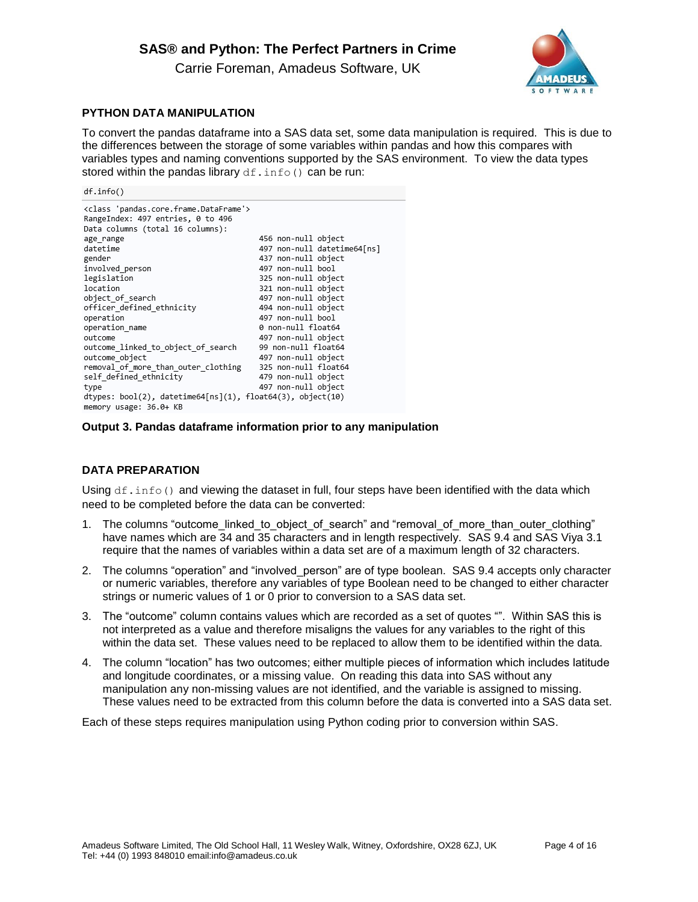Carrie Foreman, Amadeus Software, UK



## **PYTHON DATA MANIPULATION**

To convert the pandas dataframe into a SAS data set, some data manipulation is required. This is due to the differences between the storage of some variables within pandas and how this compares with variables types and naming conventions supported by the SAS environment. To view the data types stored within the pandas library  $df$ . info() can be run:

 $df.info()$ 

| <class 'pandas.core.frame.dataframe'=""></class>           |                             |
|------------------------------------------------------------|-----------------------------|
| RangeIndex: 497 entries, 0 to 496                          |                             |
| Data columns (total 16 columns):                           |                             |
| age range                                                  | 456 non-null object         |
| datetime                                                   | 497 non-null datetime64[ns] |
| gender                                                     | 437 non-null object         |
| involved_person                                            | 497 non-null bool           |
| legislation                                                | 325 non-null object         |
| location                                                   | 321 non-null object         |
| object of search                                           | 497 non-null object         |
| officer defined ethnicity                                  | 494 non-null object         |
| operation                                                  | 497 non-null bool           |
| operation name                                             | 0 non-null float64          |
| outcome                                                    | 497 non-null object         |
| outcome linked to object of search                         | 99 non-null float64         |
| outcome object                                             | 497 non-null object         |
| removal of more than outer clothing                        | 325 non-null float64        |
| self defined ethnicity                                     | 479 non-null object         |
| type                                                       | 497 non-null object         |
| dtypes: bool(2), datetime64[ns](1), float64(3), object(10) |                             |
| memory usage: 36.0+ KB                                     |                             |

### **Output 3. Pandas dataframe information prior to any manipulation**

## **DATA PREPARATION**

Using  $df \text{.info}()$  and viewing the dataset in full, four steps have been identified with the data which need to be completed before the data can be converted:

- 1. The columns "outcome\_linked\_to\_object\_of\_search" and "removal\_of\_more\_than\_outer\_clothing" have names which are 34 and 35 characters and in length respectively. SAS 9.4 and SAS Viya 3.1 require that the names of variables within a data set are of a maximum length of 32 characters.
- 2. The columns "operation" and "involved person" are of type boolean. SAS 9.4 accepts only character or numeric variables, therefore any variables of type Boolean need to be changed to either character strings or numeric values of 1 or 0 prior to conversion to a SAS data set.
- 3. The "outcome" column contains values which are recorded as a set of quotes "". Within SAS this is not interpreted as a value and therefore misaligns the values for any variables to the right of this within the data set. These values need to be replaced to allow them to be identified within the data.
- 4. The column "location" has two outcomes; either multiple pieces of information which includes latitude and longitude coordinates, or a missing value. On reading this data into SAS without any manipulation any non-missing values are not identified, and the variable is assigned to missing. These values need to be extracted from this column before the data is converted into a SAS data set.

Each of these steps requires manipulation using Python coding prior to conversion within SAS.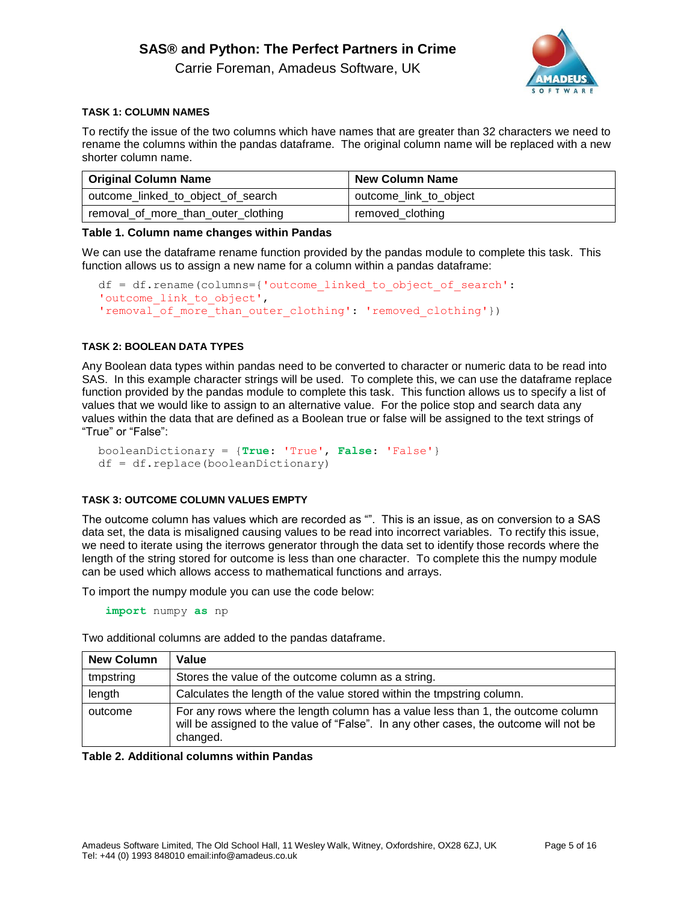Carrie Foreman, Amadeus Software, UK



### **TASK 1: COLUMN NAMES**

To rectify the issue of the two columns which have names that are greater than 32 characters we need to rename the columns within the pandas dataframe. The original column name will be replaced with a new shorter column name.

| <b>Original Column Name</b>         | <b>New Column Name</b> |  |  |  |
|-------------------------------------|------------------------|--|--|--|
| outcome_linked_to_object_of_search  | outcome_link_to_object |  |  |  |
| removal_of_more_than_outer_clothing | removed_clothing       |  |  |  |

### **Table 1. Column name changes within Pandas**

We can use the dataframe rename function provided by the pandas module to complete this task. This function allows us to assign a new name for a column within a pandas dataframe:

```
df = df.rename(columns={'outcome_linked_to_object_of_search': 
'outcome link to object',
'removal of more than outer clothing': 'removed clothing'})
```
### **TASK 2: BOOLEAN DATA TYPES**

Any Boolean data types within pandas need to be converted to character or numeric data to be read into SAS. In this example character strings will be used. To complete this, we can use the dataframe replace function provided by the pandas module to complete this task. This function allows us to specify a list of values that we would like to assign to an alternative value. For the police stop and search data any values within the data that are defined as a Boolean true or false will be assigned to the text strings of "True" or "False":

```
booleanDictionary = {True: 'True', False: 'False'}
df = df.replace(booleanDictionary)
```
### **TASK 3: OUTCOME COLUMN VALUES EMPTY**

The outcome column has values which are recorded as "". This is an issue, as on conversion to a SAS data set, the data is misaligned causing values to be read into incorrect variables. To rectify this issue, we need to iterate using the iterrows generator through the data set to identify those records where the length of the string stored for outcome is less than one character. To complete this the numpy module can be used which allows access to mathematical functions and arrays.

To import the numpy module you can use the code below:

**import** numpy **as** np

Two additional columns are added to the pandas dataframe.

| <b>New Column</b> | Value                                                                                                                                                                                 |
|-------------------|---------------------------------------------------------------------------------------------------------------------------------------------------------------------------------------|
| tmpstring         | Stores the value of the outcome column as a string.                                                                                                                                   |
| length            | Calculates the length of the value stored within the tmpstring column.                                                                                                                |
| outcome           | For any rows where the length column has a value less than 1, the outcome column<br>will be assigned to the value of "False". In any other cases, the outcome will not be<br>changed. |

### **Table 2. Additional columns within Pandas**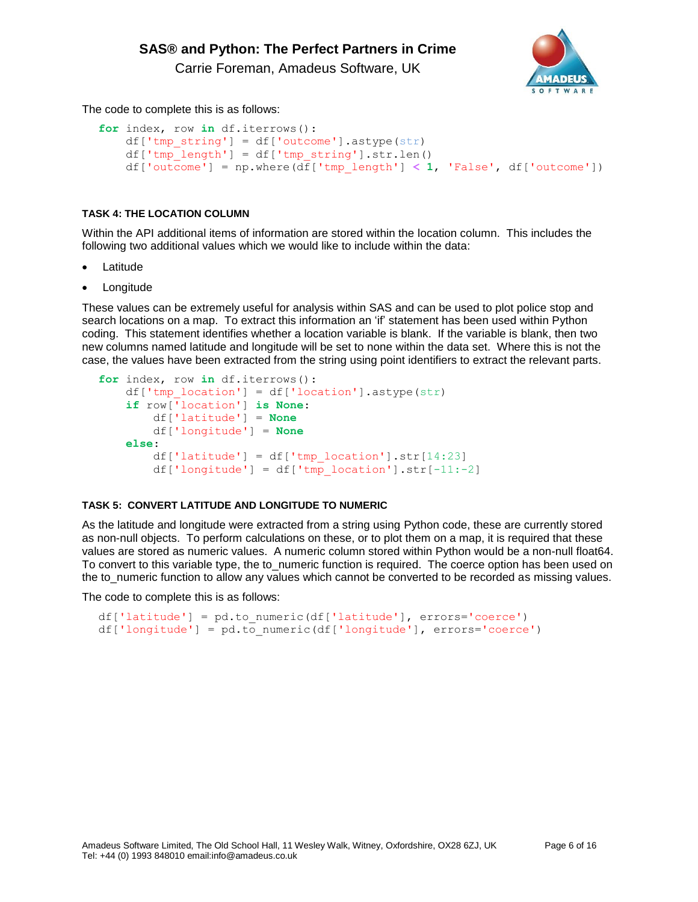

The code to complete this is as follows:

```
for index, row in df.iterrows():
     df['tmp_string'] = df['outcome'].astype(str)
    df['tmp length'] = df['tmp string'].str.length() df['outcome'] = np.where(df['tmp_length'] < 1, 'False', df['outcome'])
```
## **TASK 4: THE LOCATION COLUMN**

Within the API additional items of information are stored within the location column. This includes the following two additional values which we would like to include within the data:

- **Latitude**
- **Longitude**

These values can be extremely useful for analysis within SAS and can be used to plot police stop and search locations on a map. To extract this information an 'if' statement has been used within Python coding. This statement identifies whether a location variable is blank. If the variable is blank, then two new columns named latitude and longitude will be set to none within the data set. Where this is not the case, the values have been extracted from the string using point identifiers to extract the relevant parts.

```
for index, row in df.iterrows():
   df['tmp location'] = df['location'] .astype(str) if row['location'] is None:
        df['latitude'] = None
        df['longitude'] = None
    else:
        df['lattice'] = df['tmp location'].str[14:23]df['longitude'] = df['tmp location'].str[-11:-2]
```
### **TASK 5: CONVERT LATITUDE AND LONGITUDE TO NUMERIC**

As the latitude and longitude were extracted from a string using Python code, these are currently stored as non-null objects. To perform calculations on these, or to plot them on a map, it is required that these values are stored as numeric values. A numeric column stored within Python would be a non-null float64. To convert to this variable type, the to\_numeric function is required. The coerce option has been used on the to\_numeric function to allow any values which cannot be converted to be recorded as missing values.

The code to complete this is as follows:

```
df['latitude'] = pd.to_numeric(df['latitude'], errors='coerce')
df['longitude'] = pd.to_numeric(df['longitude'], errors='coerce')
```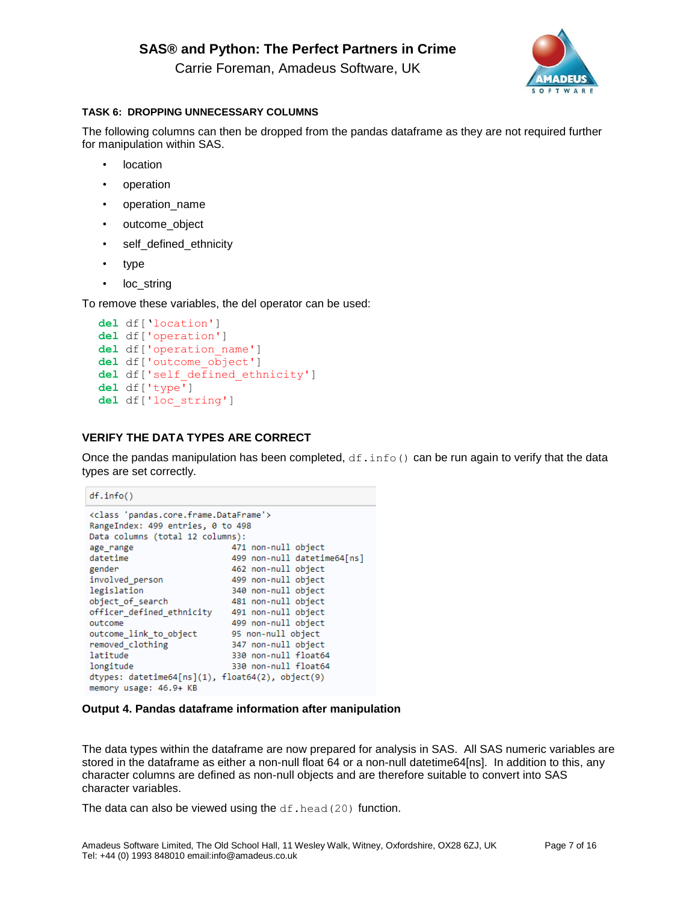

Carrie Foreman, Amadeus Software, UK

## **TASK 6: DROPPING UNNECESSARY COLUMNS**

The following columns can then be dropped from the pandas dataframe as they are not required further for manipulation within SAS.

- location
- operation
- operation\_name
- outcome\_object
- self\_defined\_ethnicity
- type
- loc\_string

To remove these variables, the del operator can be used:

```
del df['location']
del df['operation']
del df['operation_name']
del df['outcome_object']
del df['self_defined_ethnicity']
del df['type']
del df['loc_string']
```
## **VERIFY THE DATA TYPES ARE CORRECT**

Once the pandas manipulation has been completed,  $df.info()$  can be run again to verify that the data types are set correctly.

```
df.info()<class 'pandas.core.frame.DataFrame'>
RangeIndex: 499 entries, 0 to 498
Data columns (total 12 columns):
                                                 471 non-null object
age range
datetime
                                                499 non-null datetime64[ns]
gender
                                               462 non-null object
Procession<br>
involved_person<br>
199 non-null object<br>
legislation<br>
340 non-null object<br>
officer_defined_ethnicity<br>
491 non-null object<br>
499 non-null object<br>
499 non-null object
orricer_uerineu_etmncity 491 non-nuil object<br>outcome 499 non-null object<br>outcome_link_to_object 95 non-null object<br>removed_clothing 347 non-null object<br>latitude 330 non-null float6
                                              as non-nuit object<br>347 non-null object<br>228 aas aull flastC
latitude
                                                 330 non-null float64
                                                 330 non-null float64
longitude
dtypes: datetime64[ns](1), float64(2), object(9)
memory usage: 46.9+ KB
```
## **Output 4. Pandas dataframe information after manipulation**

The data types within the dataframe are now prepared for analysis in SAS. All SAS numeric variables are stored in the dataframe as either a non-null float 64 or a non-null datetime64[ns]. In addition to this, any character columns are defined as non-null objects and are therefore suitable to convert into SAS character variables.

The data can also be viewed using the  $df$ . head (20) function.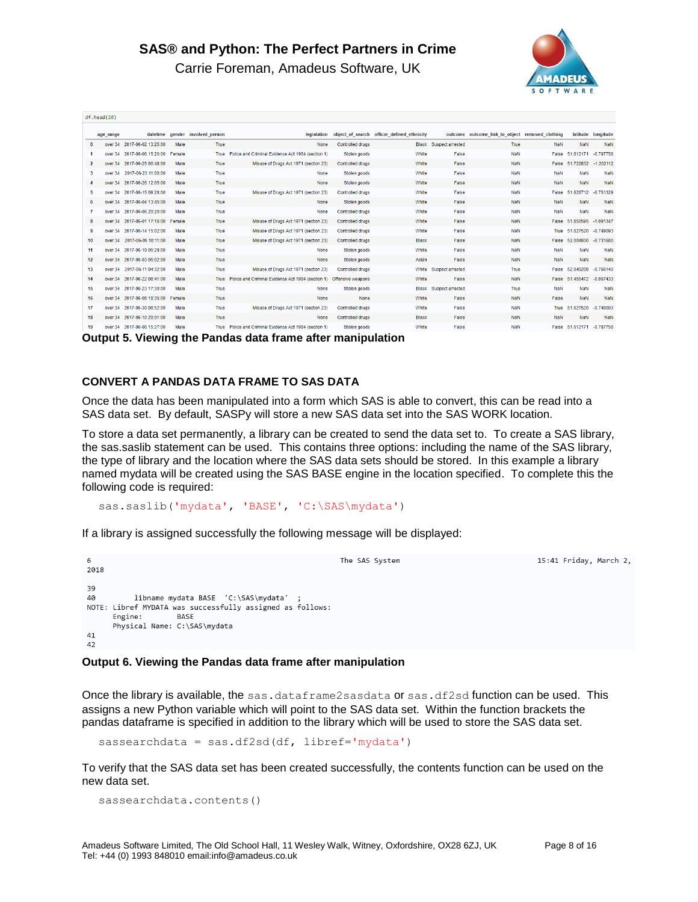

Carrie Foreman, Amadeus Software, UK

| $df$ . head $(20)$ |           |                                    |        |                        |                                                                     |                         |                                            |                         |                                         |            |                     |                    |
|--------------------|-----------|------------------------------------|--------|------------------------|---------------------------------------------------------------------|-------------------------|--------------------------------------------|-------------------------|-----------------------------------------|------------|---------------------|--------------------|
|                    | age_range | datetime                           |        | gender involved person | legislation                                                         |                         | object of search officer defined ethnicity | outcome                 | outcome link to object removed clothing |            |                     | latitude longitude |
| $\Omega$           | over 34   | 2017-06-02 13:25:00                | Male   | True                   | None                                                                | Controlled drugs        |                                            | Black Suspect arrested  | True                                    | <b>NaN</b> | <b>NaN</b>          | NaN                |
|                    | over 34   | 2017-06-06 15:20:00                | Female | True                   | Police and Criminal Evidence Act 1984 (section 1)                   | Stolen goods            | White                                      | False                   | <b>NaN</b>                              | False      | 51.612171           | $-0.787758$        |
| $\mathbf{2}$       |           | over 34 2017-06-25 00:48:00        | Male   | True                   | Misuse of Drugs Act 1971 (section 23)                               | <b>Controlled drugs</b> | White                                      | False                   | <b>NaN</b>                              | False      | 51.722832           | $-1.202112$        |
| $\mathbf{3}$       |           | over 34 2017-06-23 11:00:00        | Male   | True                   | None                                                                | Stolen goods            | White                                      | False                   | <b>NaN</b>                              | <b>NaN</b> | <b>NaN</b>          | <b>NaN</b>         |
| $\overline{4}$     | over 34   | 2017-06-26 12:05:00                | Male   | True                   | None                                                                | Stolen goods            | White                                      | False                   | <b>NaN</b>                              | <b>NaN</b> | NaN                 | NaN                |
| 5                  | over 34   | 2017-06-15 09:28:00                | Male   | True                   | Misuse of Drugs Act 1971 (section 23)                               | <b>Controlled drugs</b> | White                                      | False                   | <b>NaN</b>                              | False      | 51.628712           | $-0.751329$        |
| -6                 | over 34   | 2017-06-04 13:45:00                | Male   | True                   | None                                                                | Stolen goods            | White                                      | False                   | <b>NaN</b>                              | <b>NaN</b> | NaN                 | NaN                |
| -7                 |           | over 34 2017-06-06 20:20:00        | Male   | True                   | None                                                                | <b>Controlled drugs</b> | White                                      | False                   | <b>NaN</b>                              | NaN        | <b>NaN</b>          | NaN                |
| -8                 |           | over 34 2017-06-01 17:16:00 Female |        | True                   | Misuse of Drugs Act 1971 (section 23)                               | <b>Controlled drugs</b> | White                                      | False                   | <b>NaN</b>                              | False      | 51.850595           | $-1.091347$        |
| 9                  | over 34   | 2017-06-14 15:02:00                | Male   | True                   | Misuse of Drugs Act 1971 (section 23)                               | <b>Controlled drugs</b> | White                                      | False                   | <b>NaN</b>                              | True       | 51.627520           | $-0.749093$        |
| 10                 | over 34   | 2017-06-05 18:11:00                | Male   | True                   | Misuse of Drugs Act 1971 (section 23)                               | <b>Controlled drugs</b> | <b>Black</b>                               | False                   | <b>NaN</b>                              | False      | 52.004930           | $-0.731680$        |
| 11                 |           | over 34 2017-06-19 05:28:00        | Male   | True                   | None                                                                | Stolen goods            | White                                      | False                   | <b>NaN</b>                              | <b>NaN</b> | <b>NaN</b>          | NaN                |
| 12 <sup>2</sup>    |           | over 34 2017-06-03 05:02:00        | Male   | True                   | None                                                                | Stolen goods            | Asian                                      | False                   | <b>NaN</b>                              | <b>NaN</b> | <b>NaN</b>          | NaN                |
| 13                 | over 34   | 2017-06-11 04:32:00                | Male   | True                   | Misuse of Drugs Act 1971 (section 23)                               | <b>Controlled drugs</b> | White                                      | Suspect arrested        | True                                    | False      | 52.040209           | $-0.766140$        |
| 14                 |           | over 34 2017-06-22 08:41:00        | Male   | <b>True</b>            | Police and Criminal Evidence Act 1984 (section 1) Offensive weapons |                         | White                                      | False                   | <b>NaN</b>                              | False      | 51.455472 -0.967433 |                    |
| 15                 | over 34   | 2017-06-23 17:30:00                | Male   | True                   | None                                                                | Stolen goods            | <b>Black</b>                               | <b>Suspect arrested</b> | True                                    | <b>NaN</b> | <b>NaN</b>          | NaN                |
| 16                 |           | over 34 2017-06-08 18:35:00 Female |        | True                   | None                                                                | None                    | White                                      | False                   | <b>NaN</b>                              | False      | <b>NaN</b>          | NaN                |
| 17                 |           | over 34 2017-06-30 08:52:00        | Male   | True                   | Misuse of Drugs Act 1971 (section 23)                               | <b>Controlled drugs</b> | White                                      | False                   | <b>NaN</b>                              | True       | 51.627520           | $-0.749093$        |
| 18                 |           | over 34 2017-06-10 20:01:00        | Male   | True                   | None                                                                | <b>Controlled drugs</b> | <b>Black</b>                               | False                   | <b>NaN</b>                              | <b>NaN</b> | <b>NaN</b>          | NaN                |
| 19                 | over 34   | 2017-06-06 15:27:00                | Male   | True                   | Police and Criminal Evidence Act 1984 (section 1)                   | Stolen goods            | White                                      | False                   | <b>NaN</b>                              | False      | 51.612171 -0.787758 |                    |

**Output 5. Viewing the Pandas data frame after manipulation**

### **CONVERT A PANDAS DATA FRAME TO SAS DATA**

Once the data has been manipulated into a form which SAS is able to convert, this can be read into a SAS data set. By default, SASPy will store a new SAS data set into the SAS WORK location.

To store a data set permanently, a library can be created to send the data set to. To create a SAS library, the sas.saslib statement can be used. This contains three options: including the name of the SAS library, the type of library and the location where the SAS data sets should be stored. In this example a library named mydata will be created using the SAS BASE engine in the location specified. To complete this the following code is required:

sas.saslib('mydata', 'BASE', 'C:\SAS\mydata')

If a library is assigned successfully the following message will be displayed:

 $\overline{6}$ The SAS System 15:41 Fridav, March 2, 2018  $39$ libname mydata BASE 'C:\SAS\mydata' ; 40 NOTE: Libref MYDATA was successfully assigned as follows: **BASE** Engine: Physical Name: C:\SAS\mydata 41 42

#### **Output 6. Viewing the Pandas data frame after manipulation**

Once the library is available, the sas.dataframe2sasdata or sas.df2sd function can be used. This assigns a new Python variable which will point to the SAS data set. Within the function brackets the pandas dataframe is specified in addition to the library which will be used to store the SAS data set.

sassearchdata = sas.df2sd(df, libref='mydata')

To verify that the SAS data set has been created successfully, the contents function can be used on the new data set.

```
sassearchdata.contents()
```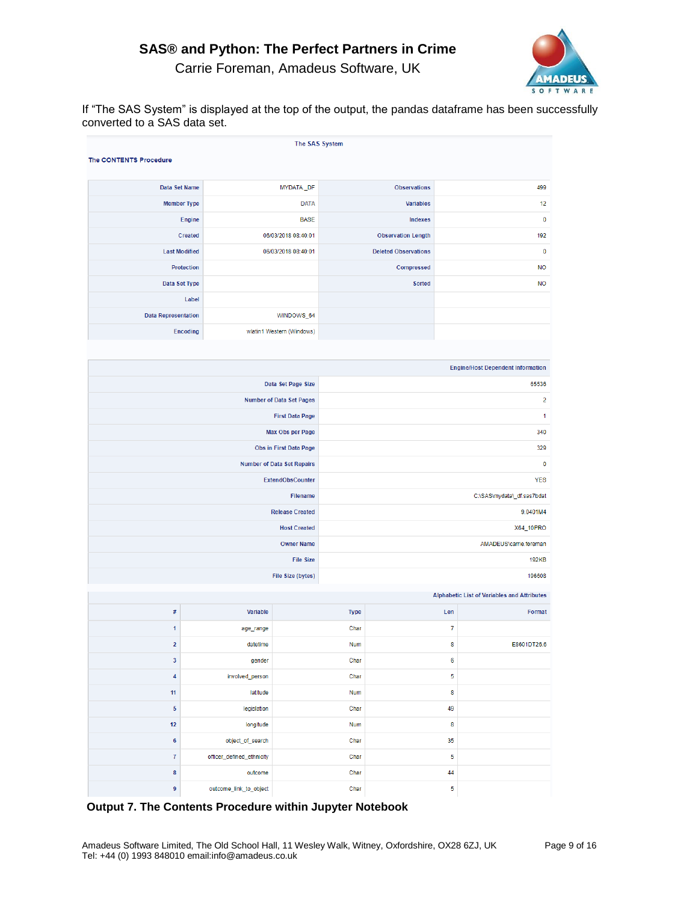

Carrie Foreman, Amadeus Software, UK

If "The SAS System" is displayed at the top of the output, the pandas dataframe has been successfully converted to a SAS data set.

| The SAS System<br><b>The CONTENTS Procedure</b> |                           |                                   |                            |                             |                |                                                    |  |  |  |  |
|-------------------------------------------------|---------------------------|-----------------------------------|----------------------------|-----------------------------|----------------|----------------------------------------------------|--|--|--|--|
| Data Set Name                                   |                           | MYDATA_DF                         |                            | <b>Observations</b>         |                | 499                                                |  |  |  |  |
| <b>Member Type</b>                              |                           | <b>DATA</b>                       |                            | <b>Variables</b>            |                | 12                                                 |  |  |  |  |
|                                                 | Engine                    | <b>BASE</b>                       |                            | Indexes                     |                | $\pmb{0}$                                          |  |  |  |  |
|                                                 | Created                   | 06/03/2018 08:40:01               |                            | <b>Observation Length</b>   |                | 192                                                |  |  |  |  |
| <b>Last Modified</b>                            |                           | 06/03/2018 08:40:01               |                            | <b>Deleted Observations</b> |                | $\pmb{0}$                                          |  |  |  |  |
| Protection                                      |                           |                                   |                            | Compressed                  |                | <b>NO</b>                                          |  |  |  |  |
| Data Set Type                                   |                           |                                   |                            | <b>Sorted</b>               |                | <b>NO</b>                                          |  |  |  |  |
|                                                 | Label                     |                                   |                            |                             |                |                                                    |  |  |  |  |
| <b>Data Representation</b>                      |                           | WINDOWS_64                        |                            |                             |                |                                                    |  |  |  |  |
| <b>Encoding</b>                                 |                           | wlatin1 Western (Windows)         |                            |                             |                |                                                    |  |  |  |  |
|                                                 |                           |                                   |                            |                             |                |                                                    |  |  |  |  |
|                                                 |                           |                                   |                            |                             |                | <b>Engine/Host Dependent Information</b>           |  |  |  |  |
|                                                 |                           | Data Set Page Size                |                            |                             |                | 65536                                              |  |  |  |  |
|                                                 |                           | Number of Data Set Pages          |                            |                             |                | $\overline{\mathbf{c}}$                            |  |  |  |  |
|                                                 |                           | <b>First Data Page</b>            |                            |                             |                | 1                                                  |  |  |  |  |
|                                                 |                           | Max Obs per Page                  | 340                        |                             |                |                                                    |  |  |  |  |
|                                                 |                           | Obs in First Data Page            | 329                        |                             |                |                                                    |  |  |  |  |
|                                                 |                           | <b>Number of Data Set Repairs</b> | $\mathbf 0$                |                             |                |                                                    |  |  |  |  |
|                                                 |                           | ExtendObsCounter                  | <b>YES</b>                 |                             |                |                                                    |  |  |  |  |
|                                                 |                           | Filename                          | C:\SAS\mydata\_df.sas7bdat |                             |                |                                                    |  |  |  |  |
|                                                 |                           | <b>Release Created</b>            | 9.0401M4                   |                             |                |                                                    |  |  |  |  |
|                                                 |                           | <b>Host Created</b>               | X64_10PRO                  |                             |                |                                                    |  |  |  |  |
|                                                 |                           | <b>Owner Name</b>                 |                            |                             |                | AMADEUS\carrie.foreman                             |  |  |  |  |
|                                                 |                           | <b>File Size</b>                  | <b>192KB</b>               |                             |                |                                                    |  |  |  |  |
|                                                 |                           | File Size (bytes)                 |                            |                             |                | 196608                                             |  |  |  |  |
|                                                 |                           |                                   |                            |                             |                | <b>Alphabetic List of Variables and Attributes</b> |  |  |  |  |
| #                                               | Variable                  |                                   | <b>Type</b>                |                             | Len            | Format                                             |  |  |  |  |
| 1                                               | age_range                 |                                   | Char                       |                             | $\overline{7}$ |                                                    |  |  |  |  |
| $\overline{2}$                                  | datetime                  |                                   | Num                        |                             | 8              | E8601DT26.6                                        |  |  |  |  |
| 3                                               | gender                    |                                   | Char                       |                             | $6\phantom{a}$ |                                                    |  |  |  |  |
| 4                                               | involved_person           |                                   | Char                       |                             | 5              |                                                    |  |  |  |  |
| 11                                              | latitude                  |                                   | Num                        |                             | 8              |                                                    |  |  |  |  |
| 5                                               | legislation               |                                   | Char                       |                             | 49             |                                                    |  |  |  |  |
| 12                                              | longitude                 |                                   | Num                        |                             | 8              |                                                    |  |  |  |  |
| $\bf 6$                                         | object_of_search          |                                   | Char                       |                             | 35             |                                                    |  |  |  |  |
| 7                                               | officer_defined_ethnicity |                                   | Char                       |                             | 5              |                                                    |  |  |  |  |
| 8                                               | outcome                   |                                   | Char                       |                             | 44             |                                                    |  |  |  |  |
| 9                                               | outcome link to object    |                                   | Char                       |                             | $\overline{5}$ |                                                    |  |  |  |  |

**Output 7. The Contents Procedure within Jupyter Notebook**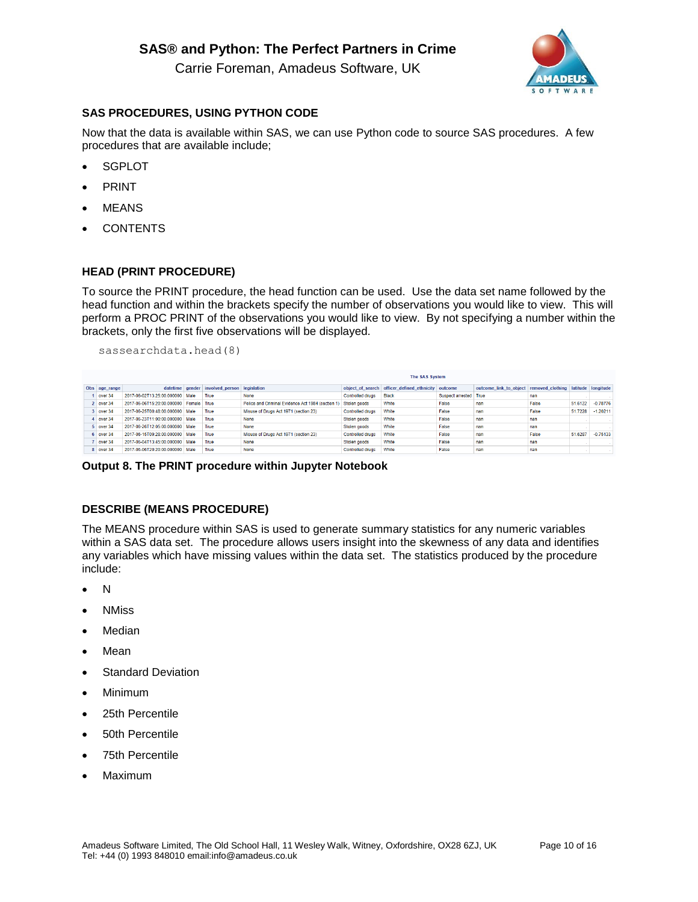Carrie Foreman, Amadeus Software, UK



## **SAS PROCEDURES, USING PYTHON CODE**

Now that the data is available within SAS, we can use Python code to source SAS procedures. A few procedures that are available include;

- **SGPLOT**
- PRINT
- **MEANS**
- **CONTENTS**

### **HEAD (PRINT PROCEDURE)**

To source the PRINT procedure, the head function can be used. Use the data set name followed by the head function and within the brackets specify the number of observations you would like to view. This will perform a PROC PRINT of the observations you would like to view. By not specifying a number within the brackets, only the first five observations will be displayed.

sassearchdata.head(8)

| <b>The SAS System</b> |               |                                   |             |                                             |                                                   |                         |                                                    |                       |                                         |       |         |                    |
|-----------------------|---------------|-----------------------------------|-------------|---------------------------------------------|---------------------------------------------------|-------------------------|----------------------------------------------------|-----------------------|-----------------------------------------|-------|---------|--------------------|
|                       | Obs age_range |                                   |             | datetime gender involved person legislation |                                                   |                         | object of search officer defined ethnicity outcome |                       | outcome_link_to_object removed_clothing |       |         | latitude longitude |
|                       | over $34$     | 2017-06-02T13:25:00.000000        | Male        | True                                        | None                                              | <b>Controlled drugs</b> | <b>Black</b>                                       | Suspect arrested True |                                         | nan   |         |                    |
|                       | 2 over 34     | 2017-06-06T15:20:00.000000        | Female True |                                             | Police and Criminal Evidence Act 1984 (section 1) | Stolen goods            | White                                              | False                 | nan                                     | False | 51.6122 | $-0.78776$         |
|                       | over 34       | 2017-06-25T00:48:00 000000 Male   |             | True                                        | Misuse of Drugs Act 1971 (section 23)             | <b>Controlled drugs</b> | White                                              | False                 | nan                                     | False | 51.7228 | $-1.20211$         |
|                       | over 34       | 2017-06-23T11:00:00.000000   Male |             | True                                        | None                                              | Stolen goods            | White                                              | False                 | nan                                     | nan   |         |                    |
|                       | 5 over 34     | 2017-06-26T12:05:00 000000 Male   |             | True                                        | <b>None</b>                                       | Stolen goods            | White                                              | False                 | nan                                     | nan   |         |                    |
|                       | $6$ over $34$ | 2017-06-15T09:28:00.000000 Male   |             | True                                        | Misuse of Drugs Act 1971 (section 23)             | <b>Controlled drugs</b> | White                                              | False                 | nan                                     | False | 51.6287 | $-0.75133$         |
|                       | over 34       | 2017-06-04T13:45:00.000000 Male   |             | True                                        | None                                              | Stolen goods            | White                                              | False                 | nan                                     | nan   |         |                    |
|                       | 8 over 34     | 2017-06-06T20:20:00.000000   Male |             | True                                        | None                                              | <b>Controlled drugs</b> | White                                              | False                 | nan                                     | nan   |         |                    |

#### **Output 8. The PRINT procedure within Jupyter Notebook**

### **DESCRIBE (MEANS PROCEDURE)**

The MEANS procedure within SAS is used to generate summary statistics for any numeric variables within a SAS data set. The procedure allows users insight into the skewness of any data and identifies any variables which have missing values within the data set. The statistics produced by the procedure include:

- $N$
- NMiss
- **Median**
- **Mean**
- **Standard Deviation**
- Minimum
- 25th Percentile
- 50th Percentile
- 75th Percentile
- Maximum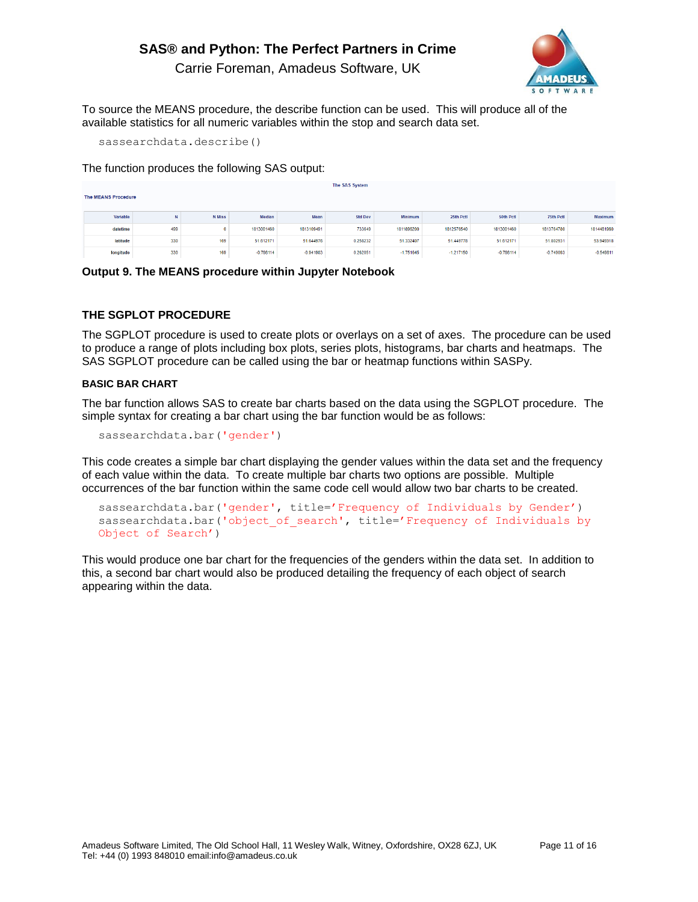## Carrie Foreman, Amadeus Software, UK



To source the MEANS procedure, the describe function can be used. This will produce all of the available statistics for all numeric variables within the stop and search data set.

sassearchdata.describe()

The function produces the following SAS output:

| The SAS System             |     |               |             |             |                |             |             |             |             |             |  |
|----------------------------|-----|---------------|-------------|-------------|----------------|-------------|-------------|-------------|-------------|-------------|--|
| <b>The MEANS Procedure</b> |     |               |             |             |                |             |             |             |             |             |  |
|                            |     |               |             |             |                |             |             |             |             |             |  |
| Variable                   | N   | <b>N</b> Miss | Median      | Mean        | <b>Std Dev</b> | Minimum     | 25th Pctl   | 50th Pctl   | 75th Pctl   | Maximum     |  |
| datetime                   | 499 | 0             | 1813001460  | 1813109491  | 733649         | 1811896200  | 1812576540  | 1813001460  | 1813764780  | 1814481960  |  |
| latitude                   | 330 | 169           | 51.612171   | 51.644976   | 0.258232       | 51.332407   | 51,449778   | 51.612171   | 51.802931   | 53.949318   |  |
| longitude                  | 330 | 169           | $-0.798114$ | $-0.941903$ | 0.262051       | $-1.751645$ | $-1.217150$ | $-0.798114$ | $-0.749093$ | $-0.549811$ |  |

**Output 9. The MEANS procedure within Jupyter Notebook**

## **THE SGPLOT PROCEDURE**

The SGPLOT procedure is used to create plots or overlays on a set of axes. The procedure can be used to produce a range of plots including box plots, series plots, histograms, bar charts and heatmaps. The SAS SGPLOT procedure can be called using the bar or heatmap functions within SASPy.

### **BASIC BAR CHART**

The bar function allows SAS to create bar charts based on the data using the SGPLOT procedure. The simple syntax for creating a bar chart using the bar function would be as follows:

sassearchdata.bar('gender')

This code creates a simple bar chart displaying the gender values within the data set and the frequency of each value within the data. To create multiple bar charts two options are possible. Multiple occurrences of the bar function within the same code cell would allow two bar charts to be created.

```
sassearchdata.bar('gender', title='Frequency of Individuals by Gender')
sassearchdata.bar('object of search', title='Frequency of Individuals by
Object of Search')
```
This would produce one bar chart for the frequencies of the genders within the data set. In addition to this, a second bar chart would also be produced detailing the frequency of each object of search appearing within the data.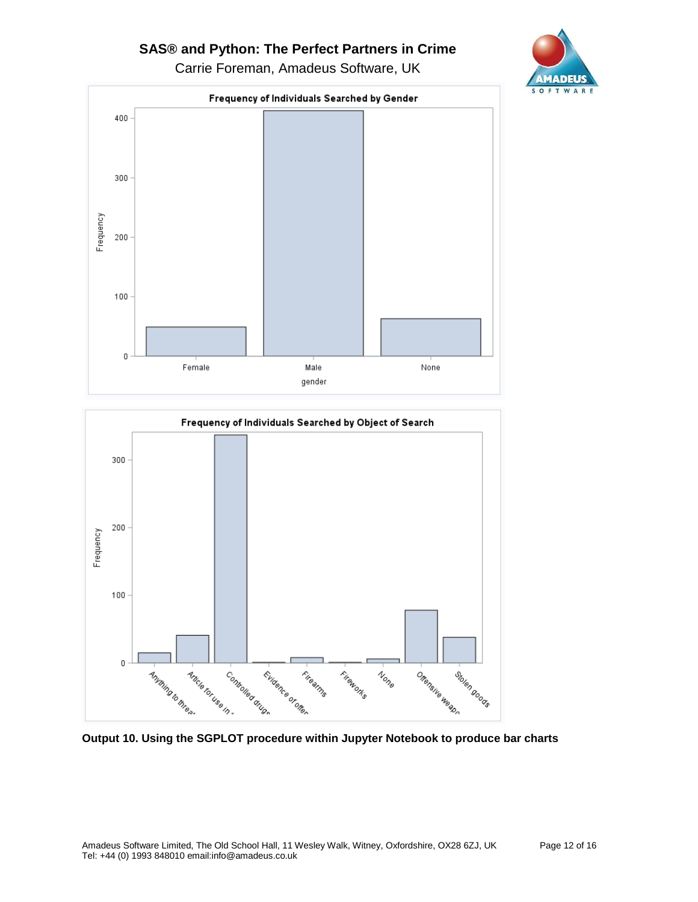Carrie Foreman, Amadeus Software, UK





**Output 10. Using the SGPLOT procedure within Jupyter Notebook to produce bar charts**

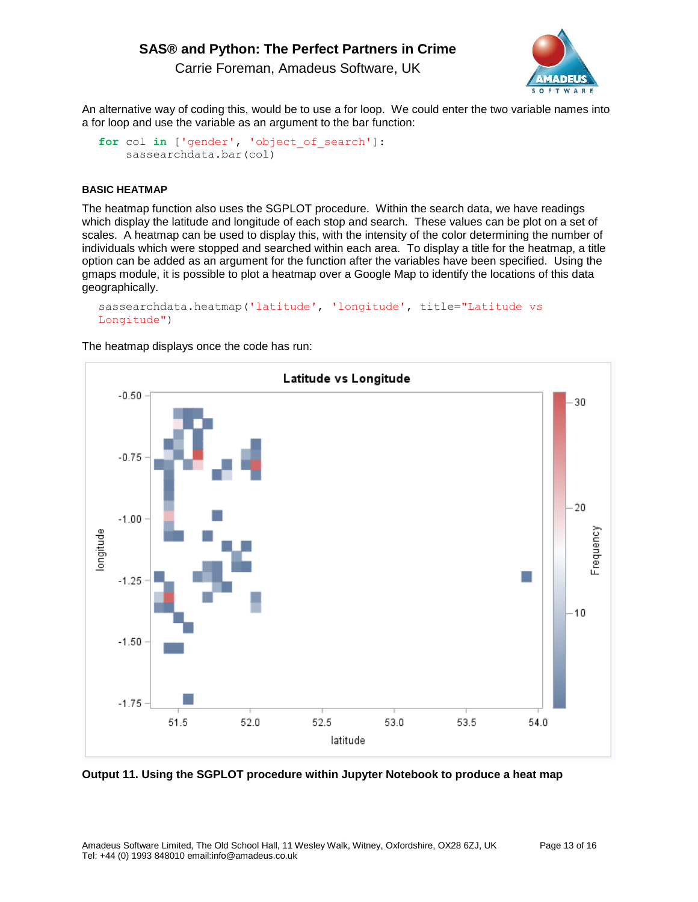Carrie Foreman, Amadeus Software, UK



An alternative way of coding this, would be to use a for loop. We could enter the two variable names into a for loop and use the variable as an argument to the bar function:

```
for col in ['gender', 'object_of_search']:
     sassearchdata.bar(col)
```
#### **BASIC HEATMAP**

The heatmap function also uses the SGPLOT procedure. Within the search data, we have readings which display the latitude and longitude of each stop and search. These values can be plot on a set of scales. A heatmap can be used to display this, with the intensity of the color determining the number of individuals which were stopped and searched within each area. To display a title for the heatmap, a title option can be added as an argument for the function after the variables have been specified. Using the gmaps module, it is possible to plot a heatmap over a Google Map to identify the locations of this data geographically.

```
sassearchdata.heatmap('latitude', 'longitude', title="Latitude vs 
Longitude")
```
The heatmap displays once the code has run:



**Output 11. Using the SGPLOT procedure within Jupyter Notebook to produce a heat map**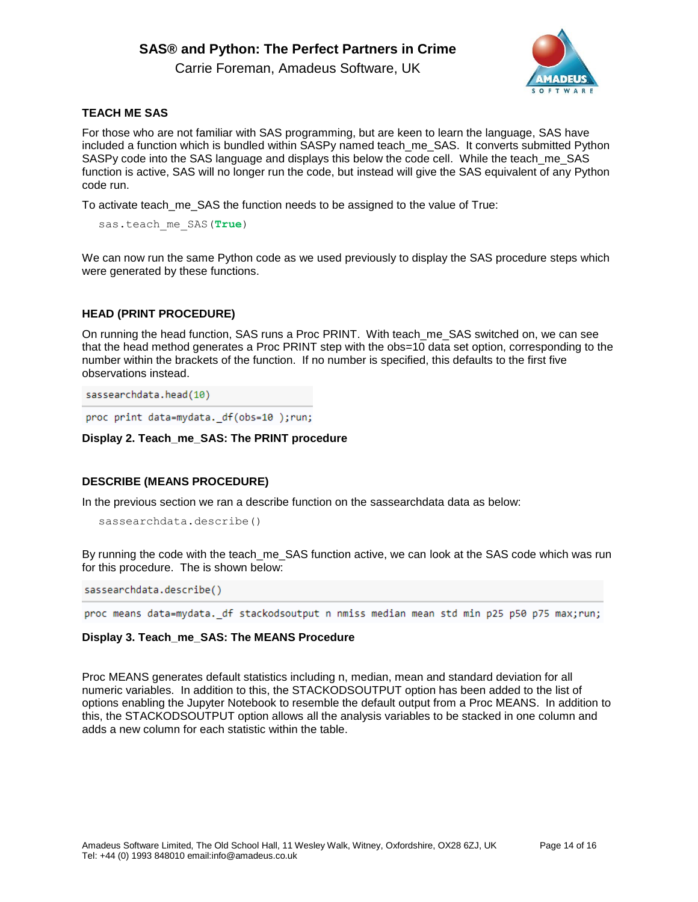Carrie Foreman, Amadeus Software, UK



## **TEACH ME SAS**

For those who are not familiar with SAS programming, but are keen to learn the language, SAS have included a function which is bundled within SASPy named teach me SAS. It converts submitted Python SASPy code into the SAS language and displays this below the code cell. While the teach me SAS function is active, SAS will no longer run the code, but instead will give the SAS equivalent of any Python code run.

To activate teach\_me\_SAS the function needs to be assigned to the value of True:

sas.teach me SAS(True)

We can now run the same Python code as we used previously to display the SAS procedure steps which were generated by these functions.

## **HEAD (PRINT PROCEDURE)**

On running the head function, SAS runs a Proc PRINT. With teach\_me\_SAS switched on, we can see that the head method generates a Proc PRINT step with the obs=10 data set option, corresponding to the number within the brackets of the function. If no number is specified, this defaults to the first five observations instead.

sassearchdata.head(10)

proc print data=mydata. df(obs=10);run;

#### **Display 2. Teach\_me\_SAS: The PRINT procedure**

### **DESCRIBE (MEANS PROCEDURE)**

In the previous section we ran a describe function on the sassearchdata data as below:

```
sassearchdata.describe()
```
By running the code with the teach me\_SAS function active, we can look at the SAS code which was run for this procedure. The is shown below:

sassearchdata.describe()

proc means data=mydata. df stackodsoutput n nmiss median mean std min p25 p50 p75 max;run;

### **Display 3. Teach\_me\_SAS: The MEANS Procedure**

Proc MEANS generates default statistics including n, median, mean and standard deviation for all numeric variables. In addition to this, the STACKODSOUTPUT option has been added to the list of options enabling the Jupyter Notebook to resemble the default output from a Proc MEANS. In addition to this, the STACKODSOUTPUT option allows all the analysis variables to be stacked in one column and adds a new column for each statistic within the table.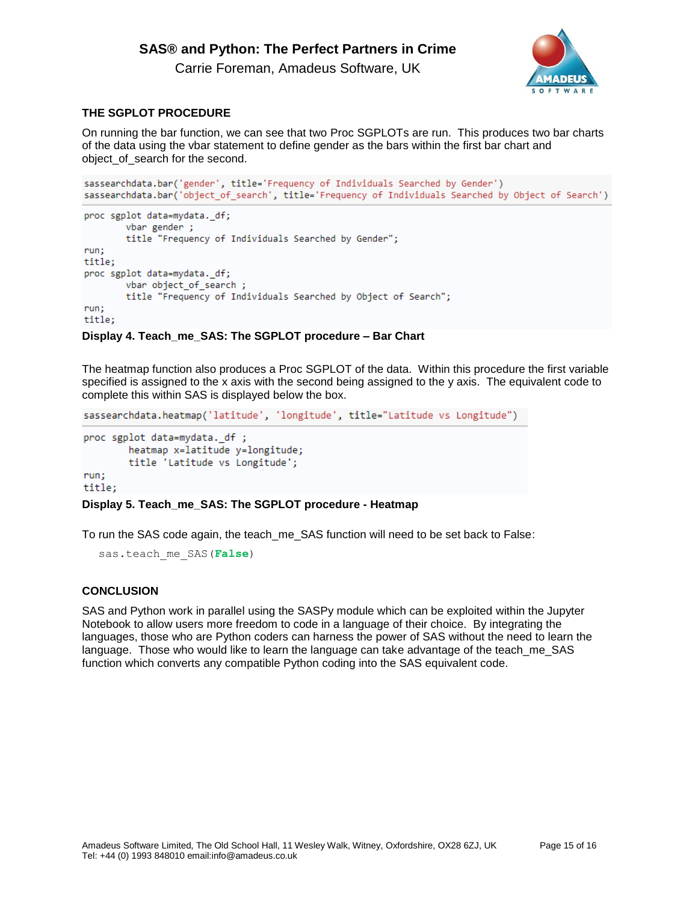Carrie Foreman, Amadeus Software, UK



## **THE SGPLOT PROCEDURE**

On running the bar function, we can see that two Proc SGPLOTs are run. This produces two bar charts of the data using the vbar statement to define gender as the bars within the first bar chart and object\_of\_search for the second.

```
sassearchdata.bar('gender', title='Frequency of Individuals Searched by Gender')
sassearchdata.bar('object of search', title='Frequency of Individuals Searched by Object of Search')
proc sgplot data=mydata. df;
       vbar gender;
        title "Frequency of Individuals Searched by Gender";
run;
title;
proc sgplot data=mydata. df;
        vbar object of search;
        title "Frequency of Individuals Searched by Object of Search";
run:
title;
```
### **Display 4. Teach\_me\_SAS: The SGPLOT procedure – Bar Chart**

The heatmap function also produces a Proc SGPLOT of the data. Within this procedure the first variable specified is assigned to the x axis with the second being assigned to the y axis. The equivalent code to complete this within SAS is displayed below the box.

```
sassearchdata.heatmap('latitude', 'longitude', title="Latitude vs Longitude")
```

```
proc sgplot data=mydata._df ;
       heatmap x=latitude y=longitude;
       title 'Latitude vs Longitude';
run;title:
```
## **Display 5. Teach\_me\_SAS: The SGPLOT procedure - Heatmap**

To run the SAS code again, the teach\_me\_SAS function will need to be set back to False:

```
sas.teach me SAS(False)
```
### **CONCLUSION**

SAS and Python work in parallel using the SASPy module which can be exploited within the Jupyter Notebook to allow users more freedom to code in a language of their choice. By integrating the languages, those who are Python coders can harness the power of SAS without the need to learn the language. Those who would like to learn the language can take advantage of the teach\_me\_SAS function which converts any compatible Python coding into the SAS equivalent code.